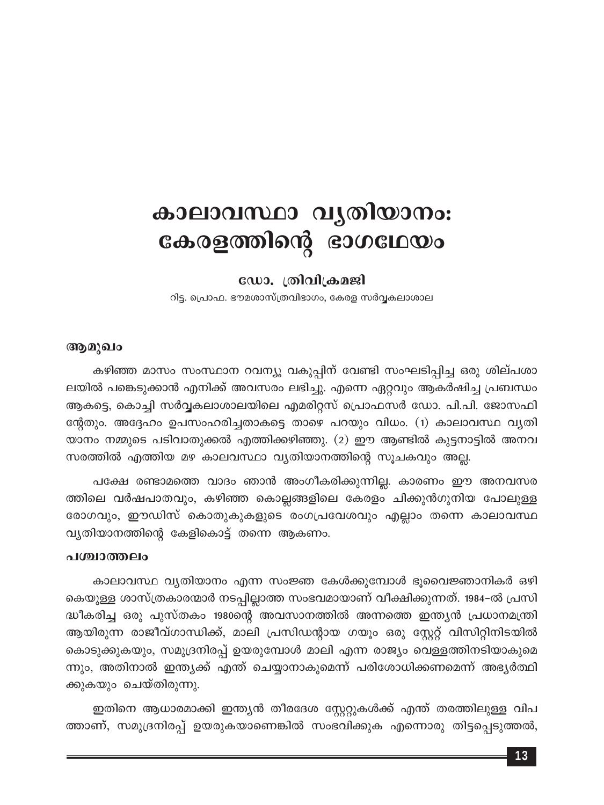# കാലാവസ്ഥാ വൃതിയാനം: കേരളത്തിന്റെ ഭാഗഥേയം

ഡോ. ത്രിവിക്രമജി

റിട്ട. പ്രൊഫ. ഭൗമശാസ്ത്രവിഭാഗം, കേരള സർവ്വകലാശാല

### ആമുഖം

കഴിഞ്ഞ മാസം സംസ്ഥാന റവന്യൂ വകുപ്പിന് വേണ്ടി സംഘടിപ്പിച്ച ഒരു ശില്പശാ ലയിൽ പങ്കെടുക്കാൻ എനിക്ക് അവസരം ലഭിച്ചു. എന്നെ ഏറ്റവും ആകർഷിച്ച പ്രബന്ധം ആകട്ടെ, കൊച്ചി സർവ്വകലാശാലയിലെ എമരിറ്റസ് പ്രൊഫസർ ഡോ. പി.പി. ജോസഫി ന്റേതും. അദ്ദേഹം ഉപസംഹരിച്ചതാകട്ടെ താഴെ പറയും വിധം. (1) കാലാവസ്ഥ വൃതി യാനം നമ്മുടെ പടിവാതുക്കൽ എത്തിക്കഴിഞ്ഞു. (2) ഈ ആണ്ടിൽ കുട്ടനാട്ടിൽ അനവ സരത്തിൽ എത്തിയ മഴ കാലവസ്ഥാ വ്യതിയാനത്തിന്റെ സൂചകവും അല്ല.

പക്ഷേ രണ്ടാമത്തെ വാദം ഞാൻ അംഗീകരിക്കുന്നില്ല. കാരണം ഈ അനവസര ത്തിലെ വർഷപാതവും, കഴിഞ്ഞ കൊല്ലങ്ങളിലെ കേരളം ചിക്കുൻഗുനിയ പോലുള്ള രോഗവും, ഈഡിസ് കൊതുകുകളുടെ രംഗപ്രവേശവും എല്ലാം തന്നെ കാലാവസ്ഥ വ്യതിയാനത്തിന്റെ കേളികൊട്ട് തന്നെ ആകണം.

#### പശ്ചാത്തലം

കാലാവസ്ഥ വൃതിയാനം എന്ന സംജ്ഞ കേൾക്കുമ്പോൾ ഭൂവൈജ്ഞാനികർ ഒഴി കെയുള്ള ശാസ്ത്രകാരന്മാർ നടപ്പില്ലാത്ത സംഭവമായാണ് വീക്ഷിക്കുന്നത്. 1984-ൽ പ്രസി ദ്ധീകരിച്ച ഒരു പുസ്തകം 1980ന്റെ അവസാനത്തിൽ അന്നത്തെ ഇന്ത്യൻ പ്രധാനമന്ത്രി ആയിരുന്ന രാജീവ്ഗാന്ധിക്ക്, മാലി പ്രസിഡന്റായ ഗയൂം ഒരു സ്റ്റേറ്റ് വിസിറ്റിനിടയിൽ കൊടുക്കുകയും, സമുദ്രനിരപ്പ് ഉയരുമ്പോൾ മാലി എന്ന രാജ്യം വെള്ളത്തിനടിയാകുമെ ന്നും, അതിനാൽ ഇന്ത്യക്ക് എന്ത് ചെയ്യാനാകുമെന്ന് പരിശോധിക്കണമെന്ന് അഭ്യർത്ഥി ക്കുകയും ചെയ്തിരുന്നു.

ഇതിനെ ആധാരമാക്കി ഇന്ത്യൻ തീരദേശ സ്റ്റേറ്റുകൾക്ക് എന്ത് തരത്തിലുള്ള വിപ ത്താണ്, സമുദ്രനിരപ്പ് ഉയരുകയാണെങ്കിൽ സംഭവിക്കുക എന്നൊരു തിട്ടപ്പെടുത്തൽ,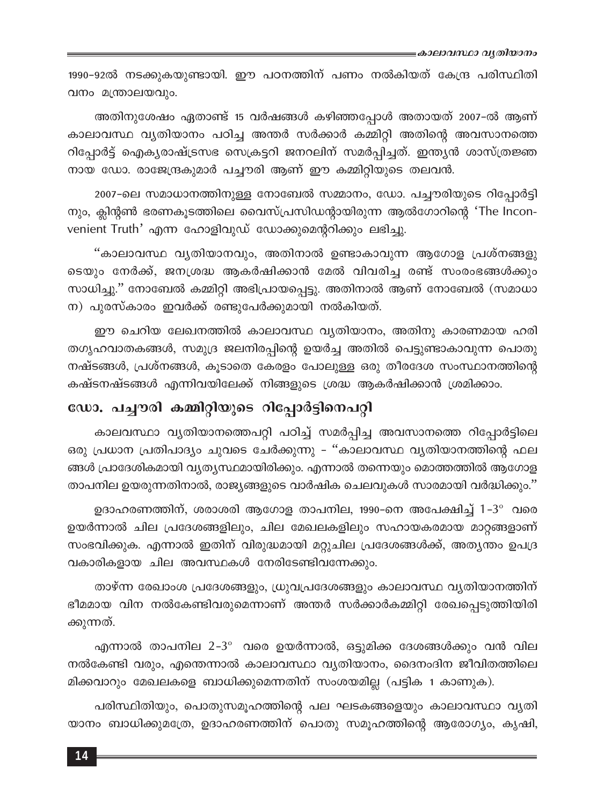∈കാലാവസ്ഥാ വൃതിയാനം

1990-92ൽ നടക്കുകയുണ്ടായി. ഈ പഠനത്തിന് പണം നൽകിയത് കേന്ദ്ര പരിസ്ഥിതി വനം മന്ത്രാലയവും.

അതിനുശേഷം ഏതാണ്ട് 15 വർഷങ്ങൾ കഴിഞ്ഞപ്പോൾ അതായത് 2007-ൽ ആണ് കാലാവസ്ഥ വ്യതിയാനം പഠിച്ച അന്തർ സർക്കാർ കമ്മിറ്റി അതിന്റെ അവസാനത്തെ റിപ്പോർട്ട് ഐക്യരാഷ്ട്രസഭ സെക്രട്ടറി ജനറലിന് സമർപ്പിച്ചത്. ഇന്ത്യൻ ശാസ്ത്രജ്ഞ നായ ഡോ. രാജേന്ദ്രകുമാർ പച്ചൗരി ആണ് ഈ കമ്മിറ്റിയുടെ തലവൻ.

2007-ലെ സമാധാനത്തിനുള്ള നോബേൽ സമ്മാനം, ഡോ. പച്ചൗരിയുടെ റിപ്പോർട്ടി നും, ക്ലിന്റൺ ഭരണകൂടത്തിലെ വൈസ്പ്രസിഡന്റായിരുന്ന ആൽഗോറിന്റെ 'The Inconvenient Truth' എന്ന ഹോളിവുഡ് ഡോക്കുമെന്ററിക്കും ലഭിച്ചു.

"കാലാവസ്ഥ വ്യതിയാനവും, അതിനാൽ ഉണ്ടാകാവുന്ന ആഗോള പ്രശ്നങ്ങളു ടെയും നേർക്ക്, ജനശ്രദ്ധ ആകർഷിക്കാൻ മേൽ വിവരിച്ച രണ്ട് സംരംഭങ്ങൾക്കും സാധിച്ചു." നോബേൽ കമ്മിറ്റി അഭിപ്രായപ്പെട്ടു. അതിനാൽ ആണ് നോബേൽ (സമാധാ ന) പുരസ്കാരം ഇവർക്ക് രണ്ടുപേർക്കുമായി നൽകിയത്.

ഈ ചെറിയ ലേഖനത്തിൽ കാലാവസ്ഥ വ്യതിയാനം, അതിനു കാരണമായ ഹരി തഗൃഹവാതകങ്ങൾ, സമുദ്ര ജലനിരപ്പിന്റെ ഉയർച്ച അതിൽ പെട്ടുണ്ടാകാവുന്ന പൊതു നഷ്ടങ്ങൾ, പ്രശ്നങ്ങൾ, കൂടാതെ കേരളം പോലുള്ള ഒരു തീരദേശ സംസ്ഥാനത്തിന്റെ കഷ്ടനഷ്ടങ്ങൾ എന്നിവയിലേക്ക് നിങ്ങളുടെ ശ്രദ്ധ ആകർഷിക്കാൻ ശ്രമിക്കാം.

### ഡോ. പച്ചൗരി കമ്മിറ്റിയുടെ റിപ്പോർട്ടിനെപറ്റി

കാലവസ്ഥാ വൃതിയാനത്തെപറ്റി പഠിച്ച് സമർപ്പിച്ച അവസാനത്തെ റിപ്പോർട്ടിലെ ഒരു പ്രധാന പ്രതിപാദ്യം ചുവടെ ചേർക്കുന്നു - ''കാലാവസ്ഥ വ്യതിയാനത്തിന്റെ ഫല ങ്ങൾ പ്രാദേശികമായി വ്യത്യസ്ഥമായിരിക്കും. എന്നാൽ തന്നെയും മൊത്തത്തിൽ ആഗോള താപനില ഉയരുന്നതിനാൽ, രാജ്യങ്ങളുടെ വാർഷിക ചെലവുകൾ സാരമായി വർദ്ധിക്കും.''

ഉദാഹരണത്തിന്, ശരാശരി ആഗോള താപനില, 1990-നെ അപേക്ഷിച്ച് 1-3° വരെ ഉയർന്നാൽ ചില പ്രദേശങ്ങളിലും, ചില മേഖലകളിലും സഹായകരമായ മാറ്റങ്ങളാണ് സംഭവിക്കുക. എന്നാൽ ഇതിന് വിരുദ്ധമായി മറ്റുചില പ്രദേശങ്ങൾക്ക്, അതൃന്തം ഉപദ്ര വകാരികളായ ചില അവസ്ഥകൾ നേരിടേണ്ടിവന്നേക്കും.

താഴ്ന്ന രേഖാംശ പ്രദേശങ്ങളും, ധ്രുവപ്രദേശങ്ങളും കാലാവസ്ഥ വൃതിയാനത്തിന് ഭീമമായ വിന നൽകേണ്ടിവരുമെന്നാണ് അന്തർ സർക്കാർകമ്മിറ്റി രേഖപ്പെടുത്തിയിരി ക്കുന്നത്.

എന്നാൽ താപനില 2-3° വരെ ഉയർന്നാൽ, ഒട്ടുമിക്ക ദേശങ്ങൾക്കും വൻ വില നൽകേണ്ടി വരും, എന്തെന്നാൽ കാലാവസ്ഥാ വ്യതിയാനം, ദൈനംദിന ജീവിതത്തിലെ മിക്കവാറും മേഖലകളെ ബാധിക്കുമെന്നതിന് സംശയമില്ല (പട്ടിക 1 കാണുക).

പരിസ്ഥിതിയും, പൊതുസമൂഹത്തിന്റെ പല ഘടകങ്ങളെയും കാലാവസ്ഥാ വൃതി യാനം ബാധിക്കുമത്രേ, ഉദാഹരണത്തിന് പൊതു സമൂഹത്തിന്റെ ആരോഗ്യം, കൃഷി,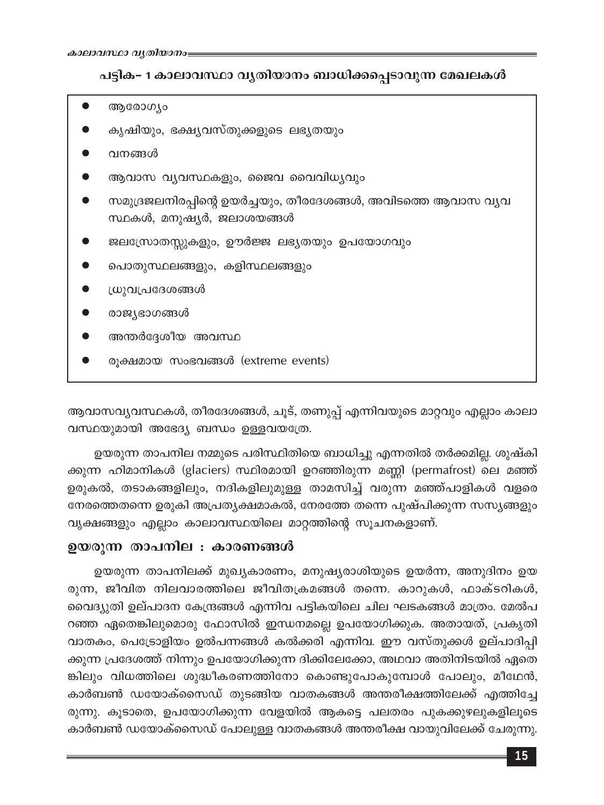പട്ടിക- 1 കാലാവസ്ഥാ വൃതിയാനം ബാധിക്കപ്പെടാവുന്ന മേഖലകൾ

- ആരോഗ്യം
- കൃഷിയും, ഭക്ഷ്യവസ്തുക്കളുടെ ലഭ്യതയും
- വനങ്ങൾ
- ആവാസ വ്യവസ്ഥകളും, ജൈവ വൈവിധ്യവും
- സമുദ്രജലനിരപ്പിന്റെ ഉയർച്ചയും, തീരദേശങ്ങൾ, അവിടത്തെ ആവാസ വ്യവ സ്ഥകൾ, മനുഷ്യർ, ജലാശയങ്ങൾ
- ജലസ്രോതസ്സുകളും, ഊർജ്ജ ലഭ്യതയും ഉപയോഗവും
- പൊതുസ്ഥലങ്ങളും, കളിസ്ഥലങ്ങളും
- ധ്രുവപ്രദേശങ്ങൾ
- രാജ്യഭാഗങ്ങൾ
- അന്തർദ്ദേശീയ അവസ്ഥ
- രൂക്ഷമായ സംഭവങ്ങൾ (extreme events)

ആവാസവ്യവസ്ഥകൾ, തീരദേശങ്ങൾ, ചൂട്, തണുപ്പ് എന്നിവയുടെ മാറ്റവും എല്ലാം കാലാ വസ്ഥയുമായി അഭേദ്യ ബന്ധം ഉള്ളവയത്രേ.

ഉയരുന്ന താപനില നമ്മുടെ പരിസ്ഥിതിയെ ബാധിച്ചു എന്നതിൽ തർക്കമില്ല. ശുഷ്കി ക്കുന്ന ഹിമാനികൾ (glaciers) സ്ഥിരമായി ഉറഞ്ഞിരുന്ന മണ്ണി (permafrost) ലെ മഞ്ഞ് ഉരുകൽ, തടാകങ്ങളിലും, നദികളിലുമുള്ള താമസിച്ച് വരുന്ന മഞ്ഞ്പാളികൾ വളരെ നേരത്തെതന്നെ ഉരുകി അപ്രത്യക്ഷമാകൽ, നേരത്തേ തന്നെ പുഷ്പിക്കുന്ന സസ്യങ്ങളും വൃക്ഷങ്ങളും എല്ലാം കാലാവസ്ഥയിലെ മാറ്റത്തിന്റെ സൂചനകളാണ്.

#### ഉയരുന്ന താപനില : കാരണങ്ങൾ

ഉയരുന്ന താപനിലക്ക് മുഖ്യകാരണം, മനുഷ്യരാശിയുടെ ഉയർന്ന, അനുദിനം ഉയ രുന്ന, ജീവിത നിലവാരത്തിലെ ജീവിതക്രമങ്ങൾ തന്നെ. കാറുകൾ, ഫാക്ടറികൾ, വൈദ്യുതി ഉല്പാദന കേന്ദ്രങ്ങൾ എന്നിവ പട്ടികയിലെ ചില ഘടകങ്ങൾ മാത്രം. മേൽപ റഞ്ഞ ഏതെങ്കിലുമൊരു ഫോസിൽ ഇന്ധനമല്ലെ ഉപയോഗിക്കുക. അതായത്, പ്രകൃതി വാതകം, പെട്രോളിയം ഉൽപന്നങ്ങൾ കൽക്കരി എന്നിവ. ഈ വസ്തുക്കൾ ഉല്പാദിപ്പി ക്കുന്ന പ്രദേശത്ത് നിന്നും ഉപയോഗിക്കുന്ന ദിക്കിലേക്കോ, അഥവാ അതിനിടയിൽ ഏതെ ങ്കിലും വിധത്തിലെ ശുദ്ധീകരണത്തിനോ കൊണ്ടുപോകുമ്പോൾ പോലും, മീഥേൻ, കാർബൺ ഡയോക്സൈഡ് തുടങ്ങിയ വാതകങ്ങൾ അന്തരീക്ഷത്തിലേക്ക് എത്തിച്ചേ രുന്നു. കൂടാതെ, ഉപയോഗിക്കുന്ന വേളയിൽ ആകട്ടെ പലതരം പുകക്കുഴലുകളിലൂടെ കാർബൺ ഡയോക്സൈഡ് പോലുള്ള വാതകങ്ങൾ അന്തരീക്ഷ വായുവിലേക്ക് ചേരുന്നു.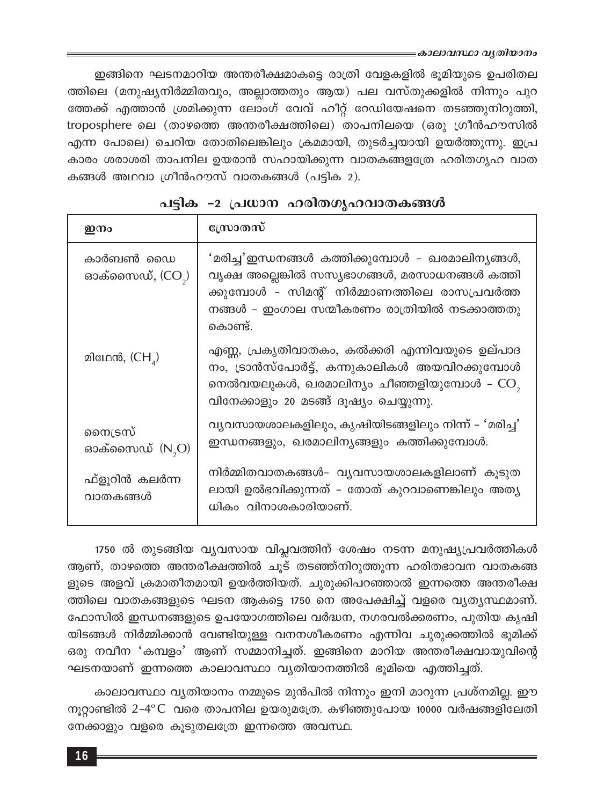≡കാലാവസ്ഥാ വൃതിയാനം

ഇങ്ങിനെ ഘടനമാറിയ അന്തരീക്ഷമാകട്ടെ രാത്രി വേളകളിൽ ഭൂമിയുടെ ഉപരിതല ത്തിലെ (മനുഷ്യനിർമ്മിതവും, അല്ലാത്തതും ആയ) പല വസ്തുക്കളിൽ നിന്നും പുറ ത്തേക്ക് എത്താൻ ശ്രമിക്കുന്ന ലോംഗ് വേവ് ഹീറ്റ് റേഡിയേഷനെ തടഞ്ഞുനിറുത്തി, troposphere ലെ (താഴത്തെ അന്തരീക്ഷത്തിലെ) താപനിലയെ (ഒരു ഗ്രീൻഹൗസിൽ എന്ന പോലെ) ചെറിയ തോതിലെങ്കിലും ക്രമമായി, തുടർച്ചയായി ഉയർത്തുന്നു. ഇപ്ര കാരം ശരാശരി താപനില ഉയരാൻ സഹായിക്കുന്ന വാതകങ്ങളത്രേ ഹരിതഗൃഹ വാത കങ്ങൾ അഥവാ ഗ്രീൻഹൗസ് വാതകങ്ങൾ (പട്ടിക 2).

| ഇനം                                | സോതസ്                                                                                                                                                                                                             |  |
|------------------------------------|-------------------------------------------------------------------------------------------------------------------------------------------------------------------------------------------------------------------|--|
| കാർബൺ ഡൈ<br>ഓക്സൈഡ്, $({\rm CO},)$ | 'മരിച്ച'ഇന്ധനങ്ങൾ കത്തിക്കുമ്പോൾ – ഖരമാലിന്യങ്ങൾ,<br>വൃക്ഷ അല്ലെങ്കിൽ സസ്യഭാഗങ്ങൾ, മരസാധനങ്ങൾ കത്തി<br>ക്കുമ്പോൾ - സിമന്റ് നിർമ്മാണത്തിലെ രാസപ്രവർത്ത<br>നങ്ങൾ - ഇംഗാല സന്മീകരണം രാത്രിയിൽ നടക്കാത്തതു<br>കൊണ്ട്. |  |
| മിഥേൻ, $(CH_4)$                    | എണ്ണ, പ്രകൃതിവാതകം, കൽക്കരി എന്നിവയുടെ ഉല്പാദ<br>നം, ട്രാൻസ്പോർട്ട്, കന്നുകാലികൾ അയവിറക്കുമ്പോൾ<br>നെൽവയലുകൾ, ഖരമാലിന്യം ചീഞ്ഞളിയുമ്പോൾ - CO <sub>,</sub><br>വിനേക്കാളും 20 മടങ്ങ് ദൂഷ്യം ചെയ്യുന്നു.             |  |
| സൈട്രസ്<br>ഓക്സൈഡ് $(N, O)$        | വ്യവസായശാലകളിലും, കൃഷിയിടങ്ങളിലും നിന്ന് – 'മരിച്ച'<br>ഇന്ധനങ്ങളും, ഖരമാലിനൃങ്ങളും കത്തിക്കുമ്പോൾ.                                                                                                                |  |
| ഫ്ളൂറിൻ കലർന്ന<br>വാതകങ്ങൾ         | നിർമ്മിതവാതകങ്ങൾ– വ്യവസായശാലകളിലാണ് കൂടുത<br>ലായി ഉൽഭവിക്കുന്നത് – തോത് കുറവാണെങ്കിലും അത്യ<br>ധികം വിനാശകാരിയാണ്.                                                                                                |  |

|  | പട്ടിക −2 പ്രധാന ഹരിതഗൃഹവാതകങ്ങൾ |
|--|----------------------------------|
|  |                                  |

1750 ൽ തുടങ്ങിയ വ്യവസായ വിപ്ലവത്തിന് ശേഷം നടന്ന മനുഷ്യപ്രവർത്തികൾ ആണ്, താഴത്തെ അന്തരീക്ഷത്തിൽ ചൂട് തടഞ്ഞ്നിറുത്തുന്ന ഹരിതഭാവന വാതകങ്ങ ളുടെ അളവ് ക്രമാതീതമായി ഉയർത്തിയത്. ചുരുക്കിപറഞ്ഞാൽ ഇന്നത്തെ അന്തരീക്ഷ ത്തിലെ വാതകങ്ങളുടെ ഘടന ആകട്ടെ 1750 നെ അപേക്ഷിച്ച് വളരെ വ്യത്യസ്ഥമാണ്. ഫോസിൽ ഇന്ധനങ്ങളുടെ ഉപയോഗത്തിലെ വർദ്ധന, നഗരവൽക്കരണം, പുതിയ കൃഷി യിടങ്ങൾ നിർമ്മിക്കാൻ വേണ്ടിയുള്ള വനനശീകരണം എന്നിവ ചുരുക്കത്തിൽ ഭൂമിക്ക് ഒരു നവീന 'കമ്പളം' ആണ് സമ്മാനിച്ചത്. ഇങ്ങിനെ മാറിയ അന്തരീക്ഷവായുവിന്റെ ഘടനയാണ് ഇന്നത്തെ കാലാവസ്ഥാ വ്യതിയാനത്തിൽ ഭൂമിയെ എത്തിച്ചത്.

കാലാവസ്ഥാ വ്യതിയാനം നമ്മുടെ മുൻപിൽ നിന്നും ഇനി മാറുന്ന പ്രശ്നമില്ല. ഈ നൂറ്റാണ്ടിൽ 2-4°C വരെ താപനില ഉയരുമത്രേ. കഴിഞ്ഞുപോയ 10000 വർഷങ്ങളിലേതി നേക്കാളും വളരെ കൂടുതലത്രേ ഇന്നത്തെ അവസ്ഥ.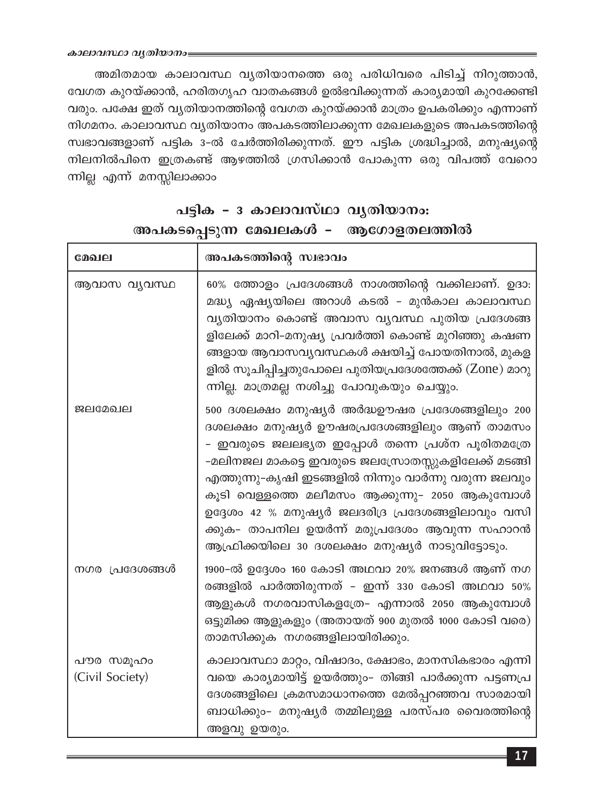അമിതമായ കാലാവസ്ഥ വൃതിയാനത്തെ ഒരു പരിധിവരെ പിടിച്ച് നിറുത്താൻ, വേഗത കുറയ്ക്കാൻ, ഹരിതഗൃഹ വാതകങ്ങൾ ഉൽഭവിക്കുന്നത് കാര്യമായി കുറക്കേണ്ടി വരും. പക്ഷേ ഇത് വ്യതിയാനത്തിന്റെ വേഗത കുറയ്ക്കാൻ മാത്രം ഉപകരിക്കും എന്നാണ് നിഗമനം. കാലാവസ്ഥ വൃതിയാനം അപകടത്തിലാക്കുന്ന മേഖലകളുടെ അപകടത്തിന്റെ സ്വഭാവങ്ങളാണ് പട്ടിക 3-ൽ ചേർത്തിരിക്കുന്നത്. ഈ പട്ടിക ശ്രദ്ധിച്ചാൽ, മനുഷ്യന്റെ നിലനിൽപിനെ ഇത്രകണ്ട് ആഴത്തിൽ ഗ്രസിക്കാൻ പോകുന്ന ഒരു വിപത്ത് വേറൊ ന്നില്ല എന്ന് മനസ്സിലാക്കാം

## പട്ടിക - 3 കാലാവസ്ഥാ വൃതിയാനം: അപകടപ്പെടുന്ന മേഖലകൾ - ആഗോളതലത്തിൽ

| മേഖല                         | അപകടത്തിന്റെ സ്വഭാവം                                                                                                                                                                                                                                                                                                                                                                                                                                                       |
|------------------------------|----------------------------------------------------------------------------------------------------------------------------------------------------------------------------------------------------------------------------------------------------------------------------------------------------------------------------------------------------------------------------------------------------------------------------------------------------------------------------|
| ആവാസ വ്യവസ്ഥ                 | 60% ത്തോളം പ്രദേശങ്ങൾ നാശത്തിന്റെ വക്കിലാണ്. ഉദാ:<br>മദ്ധ്യ ഏഷ്യയിലെ അറാൾ കടൽ - മുൻകാല കാലാവസ്ഥ<br>വ്യതിയാനം കൊണ്ട് അവാസ വ്യവസ്ഥ പുതിയ പ്രദേശങ്ങ<br>ളിലേക്ക് മാറി–മനുഷ്യ പ്രവർത്തി കൊണ്ട് മുറിഞ്ഞു കഷണ<br>ങ്ങളായ ആവാസവ്യവസ്ഥകൾ ക്ഷയിച്ച് പോയതിനാൽ, മുകള<br>ളിൽ സൂചിപ്പിച്ചതുപോലെ പുതിയപ്രദേശത്തേക്ക് (Zone) മാറു<br>ന്നില്ല. മാത്രമല്ല നശിച്ചു പോവുകയും ചെയ്യും.                                                                                                           |
| ജലമേഖല                       | 500 ദശലക്ഷം മനുഷ്യർ അർദ്ധഊഷര പ്രദേശങ്ങളിലും 200<br>ദശലക്ഷം മനുഷ്യർ ഊഷരപ്രദേശങ്ങളിലും ആണ് താമസം<br>- ഇവരുടെ ജലലഭ്യത ഇപ്പോൾ തന്നെ പ്രശ്ന പൂരിതമത്രേ<br>-മലിനജല മാകട്ടെ ഇവരുടെ ജലസ്രോതസ്സുകളിലേക്ക് മടങ്ങി<br>എത്തുന്നു–കൃഷി ഇടങ്ങളിൽ നിന്നും വാർന്നു വരുന്ന ജലവും<br>കൂടി വെള്ളത്തെ മലീമസം ആക്കുന്നു– 2050 ആകുമ്പോൾ<br>ഉദ്ദേശം 42 % മനുഷ്യർ ജലദരിദ്ര പ്രദേശങ്ങളിലാവും വസി<br>ക്കുക– താപനില ഉയർന്ന് മരുപ്രദേശം ആവുന്ന സഹാറൻ<br>ആഫ്രിക്കയിലെ 30 ദശലക്ഷം മനുഷ്യർ നാടുവിട്ടോടും. |
| നഗര പ്രദേശങ്ങൾ               | 1900-ൽ ഉദ്ദേശം 160 കോടി അഥവാ 20% ജനങ്ങൾ ആണ് നഗ<br>രങ്ങളിൽ പാർത്തിരുന്നത് - ഇന്ന് 330 കോടി അഥവാ 50%<br>ആളുകൾ നഗരവാസികളത്രേ– എന്നാൽ 2050 ആകുമ്പോൾ<br>ഒട്ടുമിക്ക ആളുകളും (അതായത് 900 മുതൽ 1000 കോടി വരെ)<br>താമസിക്കുക നഗരങ്ങളിലായിരിക്കും.                                                                                                                                                                                                                                   |
| പൗര സമൂഹം<br>(Civil Society) | കാലാവസ്ഥാ മാറ്റം, വിഷാദം, ക്ഷോഭം, മാനസികഭാരം എന്നി<br>വയെ കാര്യമായിട്ട് ഉയർത്തും- തിങ്ങി പാർക്കുന്ന പട്ടണപ്ര<br>ദേശങ്ങളിലെ ക്രമസമാധാനത്തെ മേൽപ്പറഞ്ഞവ സാരമായി<br>ബാധിക്കും- മനുഷ്യർ തമ്മിലുള്ള പരസ്പര വൈരത്തിന്റെ<br>അളവു ഉയരും.                                                                                                                                                                                                                                           |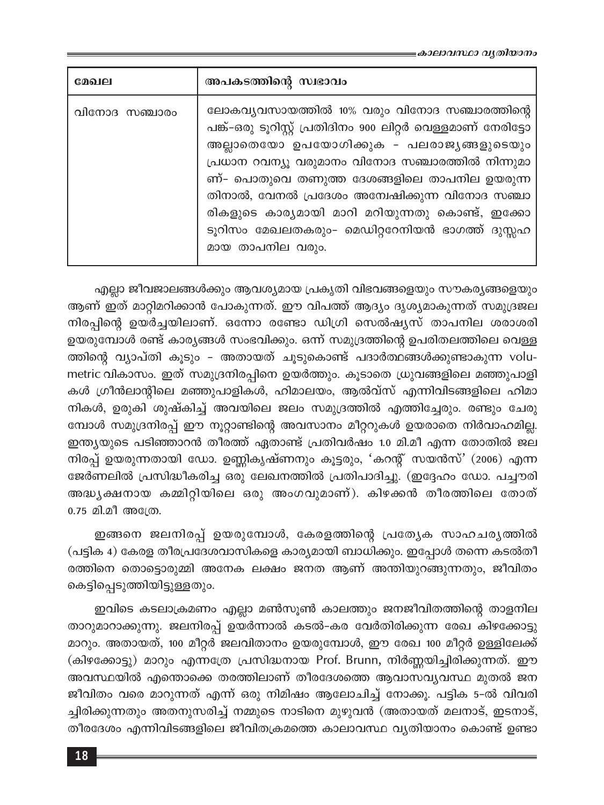∈കാലാവസ്ഥാ വൃതിയാനം

| മേഖല          | അപകടത്തിന്റെ സ്വഭാവം                                                                                                                                                                                                                                                                                                                                                                                                                     |
|---------------|------------------------------------------------------------------------------------------------------------------------------------------------------------------------------------------------------------------------------------------------------------------------------------------------------------------------------------------------------------------------------------------------------------------------------------------|
| വിനോദ സഞ്ചാരം | ലോകവ്യവസായത്തിൽ 10% വരും വിനോദ സഞ്ചാരത്തിന്റെ<br>പങ്ക്-ഒരു ടൂറിസ്റ്റ് പ്രതിദിനം 900 ലിറ്റർ വെള്ളമാണ് നേരിട്ടോ<br>അല്ലാതെയോ ഉപയോഗിക്കുക - പലരാജ്യങ്ങളുടെയും<br>പ്രധാന റവന്യൂ വരുമാനം വിനോദ സഞ്ചാരത്തിൽ നിന്നുമാ<br>ണ്- പൊതുവെ തണുത്ത ദേശങ്ങളിലെ താപനില ഉയരുന്ന<br>തിനാൽ, വേനൽ പ്രദേശം അന്വേഷിക്കുന്ന വിനോദ സഞ്ചാ<br>രികളുടെ കാര്യമായി മാറി മറിയുന്നതു കൊണ്ട്, ഇക്കോ<br>ടൂറിസം മേഖലതകരും- മെഡിറ്ററേനിയൻ ഭാഗത്ത് ദുസ്സഹ<br>മായ താപനില വരും. |

എല്ലാ ജീവജാലങ്ങൾക്കും ആവശ്യമായ പ്രകൃതി വിഭവങ്ങളെയും സൗകര്യങ്ങളെയും ആണ് ഇത് മാറ്റിമറിക്കാൻ പോകുന്നത്. ഈ വിപത്ത് ആദ്യം ദൃശ്യമാകുന്നത് സമുദ്രജല നിരപ്പിന്റെ ഉയർച്ചയിലാണ്. ഒന്നോ രണ്ടോ ഡിഗ്രി സെൽഷ്യസ് താപനില ശരാശരി ഉയരുമ്പോൾ രണ്ട് കാര്യങ്ങൾ സംഭവിക്കും. ഒന്ന് സമുദ്രത്തിന്റെ ഉപരിതലത്തിലെ വെള്ള ത്തിന്റെ വ്യാപ്തി കൂടും - അതായത് ചൂടുകൊണ്ട് പദാർത്ഥങ്ങൾക്കുണ്ടാകുന്ന volumetric വികാസം. ഇത് സമുദ്രനിരപ്പിനെ ഉയർത്തും. കൂടാതെ ധ്രുവങ്ങളിലെ മഞ്ഞുപാളി കൾ ഗ്രീൻലാന്റിലെ മഞ്ഞുപാളികൾ, ഹിമാലയം, ആൽവ്സ് എന്നിവിടങ്ങളിലെ ഹിമാ നികൾ, ഉരുകി ശുഷ്കിച്ച് അവയിലെ ജലം സമുദ്രത്തിൽ എത്തിച്ചേരും. രണ്ടും ചേരു മ്പോൾ സമുദ്രനിരപ്പ് ഈ നൂറ്റാണ്ടിന്റെ അവസാനം മീറ്ററുകൾ ഉയരാതെ നിർവാഹമില്ല. ഇന്ത്യയുടെ പടിഞ്ഞാറൻ തീരത്ത് ഏതാണ്ട് പ്രതിവർഷം 1.0 മി.മീ എന്ന തോതിൽ ജല നിരപ്പ് ഉയരുന്നതായി ഡോ. ഉണ്ണികൃഷ്ണനും കൂട്ടരും, 'കറന്റ് സയൻസ്' (2006) എന്ന ജേർണലിൽ പ്രസിദ്ധീകരിച്ച ഒരു ലേഖനത്തിൽ പ്രതിപാദിച്ചു. (ഇദ്ദേഹം ഡോ. പച്ചൗരി അദ്ധ്യക്ഷനായ കമ്മിറ്റിയിലെ ഒരു അംഗവുമാണ്). കിഴക്കൻ തീരത്തിലെ തോത് 0.75 മി.മീ അത്രേ.

ഇങ്ങനെ ജലനിരപ്പ് ഉയരുമ്പോൾ, കേരളത്തിന്റെ പ്രത്യേക സാഹചര്യത്തിൽ (പട്ടിക 4) കേരള തീരപ്രദേശവാസികളെ കാര്യമായി ബാധിക്കും. ഇപ്പോൾ തന്നെ കടൽതീ രത്തിനെ തൊട്ടൊരുമ്മി അനേക ലക്ഷം ജനത ആണ് അന്തിയുറങ്ങുന്നതും, ജീവിതം കെട്ടിപ്പെടുത്തിയിട്ടുള്ളതും.

ഇവിടെ കടലാക്രമണം എല്ലാ മൺസൂൺ കാലത്തും ജനജീവിതത്തിന്റെ താളനില താറുമാറാക്കുന്നു. ജലനിരപ്പ് ഉയർന്നാൽ കടൽ–കര വേർതിരിക്കുന്ന രേഖ കിഴക്കോട്ടു മാറും. അതായത്, 100 മീറ്റർ ജലവിതാനം ഉയരുമ്പോൾ, ഈ രേഖ 100 മീറ്റർ ഉള്ളിലേക്ക് (കിഴക്കോട്ടു) മാറും എന്നത്രേ പ്രസിദ്ധനായ Prof. Brunn, നിർണ്ണയിച്ചിരിക്കുന്നത്. ഈ അവസ്ഥയിൽ എന്തൊക്കെ തരത്തിലാണ് തീരദേശത്തെ ആവാസവ്യവസ്ഥ മുതൽ ജന ജീവിതം വരെ മാറുന്നത് എന്ന് ഒരു നിമിഷം ആലോചിച്ച് നോക്കൂ. പട്ടിക 5-ൽ വിവരി ച്ചിരിക്കുന്നതും അതനുസരിച്ച് നമ്മുടെ നാടിനെ മുഴുവൻ (അതായത് മലനാട്, ഇടനാട്, തീരദേശം എന്നിവിടങ്ങളിലെ ജീവിതക്രമത്തെ കാലാവസ്ഥ വ്യതിയാനം കൊണ്ട് ഉണ്ടാ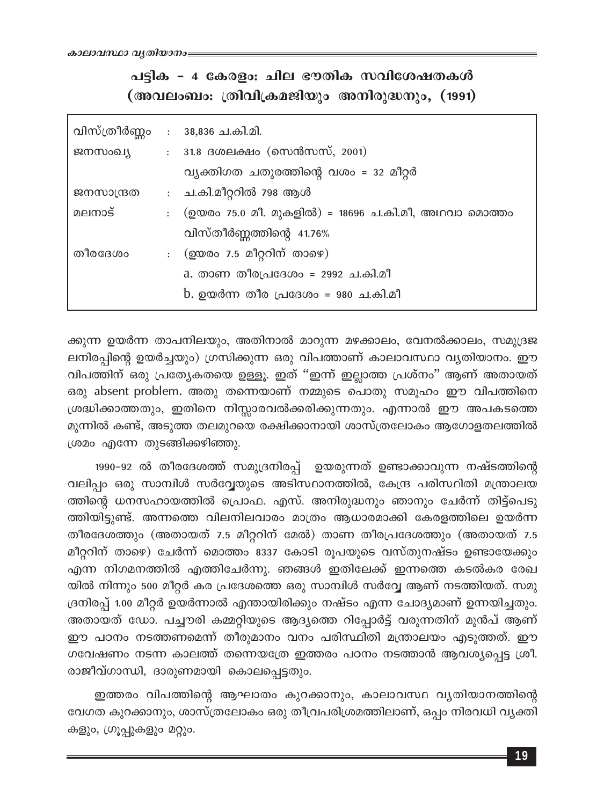കാലാവസ്ഥാ വൃതിയാന

പട്ടിക - 4 കേരളം: ചില ഭൗതിക സവിശേഷതകൾ (അവലംബം: ത്രിവിക്രമജിയും അനിരുദ്ധനും, (1991)

| വിസ്ത്രീർണ്ണം : 38,836 ച.കി.മി. |              |                                                     |
|---------------------------------|--------------|-----------------------------------------------------|
| ജനസംഖ്യ                         |              | $: 31.8$ В $\omega$ ലക്ഷം (സെൻസസ്, 2001)            |
|                                 |              | വ്യക്തിഗത ചതുരത്തിന്റെ വശം = 32 മീറ്റർ              |
| ജനസാന്ദ്രത                      |              | : ച.കി.മീറ്ററിൽ 798 ആൾ                              |
| മലനാട്                          | $\mathbf{r}$ | (ഉയരം 75.0 മീ. മുകളിൽ) = 18696 ച.കി.മീ, അഥവാ മൊത്തം |
|                                 |              | വിസ്തീർണ്ണത്തിന്റെ 41.76%                           |
| തീരദേശം                         |              | : (ഊരം 7.5 മീറ്ററിന് താഴെ)                          |
|                                 |              | a. താണ തീരപ്രദേശം = 2992 ച.കി.മീ                    |
|                                 |              | b. ഉയർന്ന തീര പ്രദേശം = 980 ച.കി.മീ                 |
|                                 |              |                                                     |

ക്കുന്ന ഉയർന്ന താപനിലയും, അതിനാൽ മാറുന്ന മഴക്കാലം, വേനൽക്കാലം, സമുദ്രജ ലനിരപ്പിന്റെ ഉയർച്ചയും) ഗ്രസിക്കുന്ന ഒരു വിപത്താണ് കാലാവസ്ഥാ വ്യതിയാനം. ഈ വിപത്തിന് ഒരു പ്രത്യേകതയെ ഉള്ളൂ. ഇത് ''ഇന്ന് ഇല്ലാത്ത പ്രശ്നം'' ആണ് അതായത് ഒരു absent problem. അതു തന്നെയാണ് നമ്മുടെ പൊതു സമൂഹം ഈ വിപത്തിനെ ശ്രദ്ധിക്കാത്തതും, ഇതിനെ നിസ്സാരവൽക്കരിക്കുന്നതും. എന്നാൽ ഈ അപകടത്തെ മുന്നിൽ കണ്ട്, അടുത്ത തലമുറയെ രക്ഷിക്കാനായി ശാസ്ത്രലോകം ആഗോളതലത്തിൽ ശ്രമം എന്നേ തുടങ്ങിക്കഴിഞ്ഞു.

1990-92 ൽ തീരദേശത്ത് സമുദ്രനിരപ്പ് ഉയരുന്നത് ഉണ്ടാക്കാവുന്ന നഷ്ടത്തിന്റെ വലിപ്പം ഒരു സാമ്പിൾ സർവ്വേയുടെ അടിസ്ഥാനത്തിൽ, കേന്ദ്ര പരിസ്ഥിതി മന്ത്രാലയ ത്തിന്റെ ധനസഹായത്തിൽ പ്രൊഫ. എസ്. അനിരുദ്ധനും ഞാനും ചേർന്ന് തിട്ട്പെടു ത്തിയിട്ടുണ്ട്. അന്നത്തെ വിലനിലവാരം മാത്രം ആധാരമാക്കി കേരളത്തിലെ ഉയർന്ന തീരദേശത്തും (അതായത് 7.5 മീറ്ററിന് മേൽ) താണ തീരപ്രദേശത്തും (അതായത് 7.5 മീറ്ററിന് താഴെ) ചേർന്ന് മൊത്തം 8337 കോടി രൂപയുടെ വസ്തുനഷ്ടം ഉണ്ടായേക്കും എന്ന നിഗമനത്തിൽ എത്തിചേർന്നു. ഞങ്ങൾ ഇതിലേക്ക് ഇന്നത്തെ കടൽകര രേഖ യിൽ നിന്നും 500 മീറ്റർ കര പ്രദേശത്തെ ഒരു സാമ്പിൾ സർവ്വേ ആണ് നടത്തിയത്. സമു ദ്രനിരപ്പ് 1.00 മീറ്റർ ഉയർന്നാൽ എന്തായിരിക്കും നഷ്ടം എന്ന ചോദ്യമാണ് ഉന്നയിച്ചതും. അതായത് ഡോ. പച്ചൗരി കമ്മറ്റിയുടെ ആദ്യത്തെ റിപ്പോർട്ട് വരുന്നതിന് മുൻപ് ആണ് ഈ പഠനം നടത്തണമെന്ന് തീരുമാനം വനം പരിസ്ഥിതി മന്ത്രാലയം എടുത്തത്. ഈ ഗവേഷണം നടന്ന കാലത്ത് തന്നെയത്രേ ഇത്തരം പഠനം നടത്താൻ ആവശ്യപ്പെട്ട ശ്രീ. രാജീവ്ഗാന്ധി, ദാരുണമായി കൊലപ്പെട്ടതും.

ഇത്തരം വിപത്തിന്റെ ആഘാതം കുറക്കാനും, കാലാവസ്ഥ വ്യതിയാനത്തിന്റെ വേഗത കുറക്കാനും, ശാസ്ത്രലോകം ഒരു തീവ്രപരിശ്രമത്തിലാണ്, ഒപ്പം നിരവധി വ്യക്തി കളും, ഗ്രൂപ്പുകളും മറ്റും.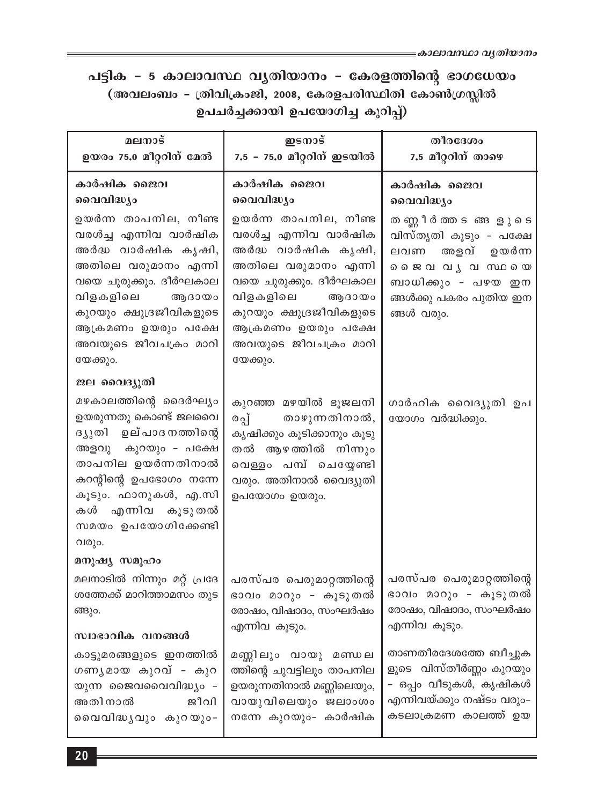# പട്ടിക - 5 കാലാവസ്ഥ വ്യതിയാനം - കേരളത്തിന്റെ ഭാഗധേയം<br>(അവലംബം - ത്രിവിക്രംജി, 2008, കേരളപരിസ്ഥിതി കോൺഗ്രസ്സിൽ ഉപചർച്ചക്കായി ഉപയോഗിച്ച കുറിപ്പ്)

| മലനാട്<br>ഉയരം 75.0 മീറ്ററിന് മേൽ                                                                                                                                                                                                   | ഇടനാട്<br>7.5 - 75.0 മീറ്ററിന് ഇടയിൽ                                                                                                                                                                                           | തീരദേശം<br>7.5 മീറ്ററിന് താഴെ                                                                                                                         |
|-------------------------------------------------------------------------------------------------------------------------------------------------------------------------------------------------------------------------------------|--------------------------------------------------------------------------------------------------------------------------------------------------------------------------------------------------------------------------------|-------------------------------------------------------------------------------------------------------------------------------------------------------|
| കാർഷിക ജൈവ<br>വൈവിദ്ധ്യം                                                                                                                                                                                                            | കാർഷിക ജൈവ<br>വൈവിദ്ധ്യം                                                                                                                                                                                                       | കാർഷിക ജൈവ<br>വൈവിദ്ധ്യം                                                                                                                              |
| ഉയർന്ന താപനില, നീണ്ട<br>വരൾച്ച എന്നിവ വാർഷിക<br>അർദ്ധ വാർഷിക കൃഷി,<br>അതിലെ വരുമാനം എന്നി<br>വയെ ചുരുക്കും. ദീർഘകാല<br>വിളകളിലെ<br>ആദായം<br>കുറയും ക്ഷുദ്രജീവികളുടെ<br>ആക്രമണം ഉയരും പക്ഷേ<br>അവയുടെ ജീവചക്രം മാറി<br>യേക്കും.      | ഉയർന്ന താപനില, നീണ്ട<br>വരൾച്ച എന്നിവ വാർഷിക<br>അർദ്ധ വാർഷിക കൃഷി,<br>അതിലെ വരുമാനം എന്നി<br>വയെ ചുരുക്കും. ദീർഘകാല<br>വിളകളിലെ<br>ആദായം<br>കുറയും ക്ഷുദ്രജീവികളുടെ<br>ആക്രമണം ഉയരും പക്ഷേ<br>അവയുടെ ജീവചക്രം മാറി<br>യേക്കും. | ത ണ്ണിർത്ത ടങ്ങളുടെ<br>വിസ്തൃതി കൂടും - പക്ഷേ<br>അളവ്<br>ലവണ<br>ഉയർന്ന<br>മൈജവ വൃവ സഥയെ<br>ബാധിക്കും - പഴയ ഇന<br>ങ്ങൾക്കു പകരം പുതിയ ഇന<br>ങ്ങൾ വരും. |
| ജല വൈദ്യുതി                                                                                                                                                                                                                         |                                                                                                                                                                                                                                |                                                                                                                                                       |
| മഴകാലത്തിന്റെ ദൈർഘ്യം<br>ഉയരുന്നതു കൊണ്ട് ജലവൈ<br>ഉല് പാദ നത്തിന്റെ<br>ദ്യുതി<br>അളവു കുറയും - പക്ഷേ<br>താപനില ഉയർന്നതിനാൽ<br>കറന്റിന്റെ ഉപഭോഗം നന്നേ<br>കൂടും. ഫാനുകൾ, എ.സി<br>എന്നിവ കൂടുതൽ<br>കൾ<br>സമയം ഉപയോഗിക്കേണ്ടി<br>വരും. | കുറഞ്ഞ മഴയിൽ ഭൂജലനി<br>താഴുന്നതിനാൽ,<br>രപ്പ്<br>കൃഷിക്കും കൂടിക്കാനും കൂടു<br>തൽ ആഴത്തിൽ നിന്നും<br>വെള്ളം പമ്പ് ചെയ്യേണ്ടി<br>വരും. അതിനാൽ വൈദ്യുതി<br>ഉപയോഗം ഉയരും.                                                         | ഗാർഹിക വൈദ്യുതി ഉപ<br>യോഗം വർദ്ധിക്കും.                                                                                                               |
| മനുഷ്യ സമൂഹം                                                                                                                                                                                                                        |                                                                                                                                                                                                                                |                                                                                                                                                       |
| മലനാടിൽ നിന്നും മറ്റ് പ്രദേ<br>ശത്തേക്ക് മാറിത്താമസം തുട<br>ങ്ങും.<br>സ്വാഭാവിക വനങ്ങൾ                                                                                                                                              | പരസ്പര പെരുമാറ്റത്തിന്റെ<br>ഭാവം മാറും - കൂടുതൽ<br>രോഷം, വിഷാദം, സംഘർഷം<br>എന്നിവ കൂടും.                                                                                                                                       | പരസ്പര പെരുമാറ്റത്തിന്റെ<br>ഭാവം മാറും - കൂടുതൽ<br>രോഷം, വിഷാദം, സംഘർഷം<br>എന്നിവ കൂടും.                                                              |
| കാട്ടുമരങ്ങളുടെ ഇനത്തിൽ<br>ഗണൃമായ കുറവ് - കുറ<br>യുന്ന ജൈവവൈവിദ്ധ്യം -<br>അതിനാൽ<br>ജീവി<br>വൈവിദ്ധ്യവും കുറയും-                                                                                                                    | മണ്ണിലും വായു മണ്ഡല<br>ത്തിന്റെ ചുവട്ടിലും താപനില<br>ഉയരുന്നതിനാൽ മണ്ണിലെയും,<br>വായുവിലെയും ജലാംശം<br>നന്നേ കുറയും- കാർഷിക                                                                                                    | താണതീരദേശത്തേ ബീച്ചുക<br>ളുടെ വിസ്തീർണ്ണം കുറയും<br>- ഒപ്പം വീടുകൾ, കൃഷികൾ<br>എന്നിവയ്ക്കും നഷ്ടം വരും-<br>കടലാക്രമണ കാലത്ത് ഉയ                       |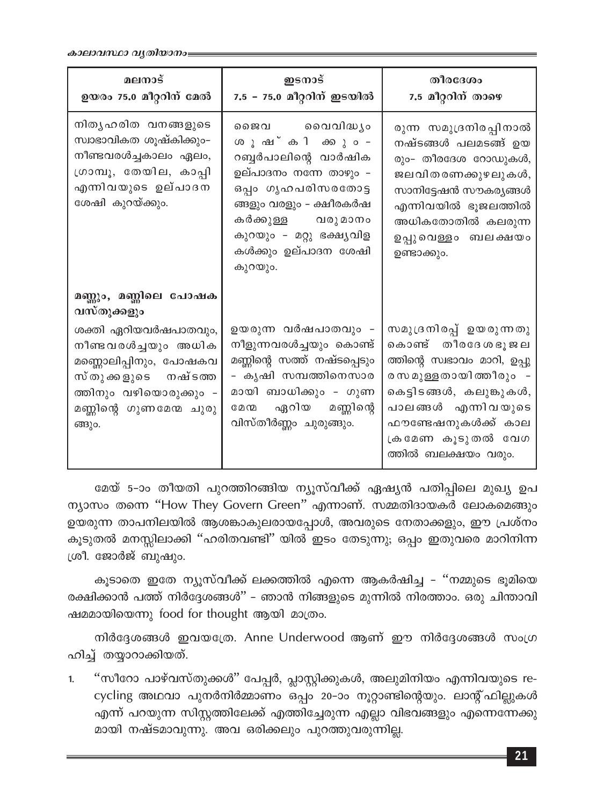കാലാവസ്ഥാ വൃതിയാനം

| മലനാട്<br>ഉയരം 75.0 മീറ്ററിന് മേൽ                                                                                                                          | ഇടനാട്<br>7.5 - 75.0 മീറ്ററിന് ഇടയിൽ                                                                                                                                                                                    | തീരദേശം<br>7.5 മീറ്ററിന് താഴെ                                                                                                                                                                                                |
|------------------------------------------------------------------------------------------------------------------------------------------------------------|-------------------------------------------------------------------------------------------------------------------------------------------------------------------------------------------------------------------------|------------------------------------------------------------------------------------------------------------------------------------------------------------------------------------------------------------------------------|
| നിതൃഹരിത വനങ്ങളുടെ<br>സ്വാഭാവികത ശൂഷ്കിക്കും-<br>നീണ്ടവരൾച്ചകാലം ഏലം,<br>ശ്രാമ്പൂ, തേയില, കാപ്പി<br>എന്നിവയുടെ ഉല്പാദന<br>ശേഷി കുറയ്ക്കും.                 | ജൈവ വൈവിദ്ധ്യം<br>ശുഷ്കി കരും -<br>റബ്ബർപാലിന്റെ വാർഷിക<br>ഉല്പാദനം നന്നേ താഴും –<br>ഒപ്പം ഗൃഹപരിസരതോട്ട<br>ങ്ങളും വരളും - ക്ഷീരകർഷ<br>കർക്കുള്ള വരുമാനം<br>കുറയും - മറ്റു ഭക്ഷ്യവിള<br>കൾക്കും ഉല്പാദന ശേഷി<br>കുറയും. | രുന്ന സമുദ്രനിരപ്പിനാൽ<br>നഷ്ടങ്ങൾ പലമടങ്ങ് ഉയ<br>രും- തീരദേശ റോഡുകൾ,<br>ജലവിതരണക്കുഴലുകൾ,<br>സാനിട്ടേഷൻ സൗകര്യങ്ങൾ<br>എന്നിവയിൽ ഭൂജലത്തിൽ<br>അധികതോതിൽ കലരുന്ന<br>ഉപ്പുവെള്ളം ബലക്ഷയം<br>ഉണ്ടാക്കും.                        |
| മണ്ണും, മണ്ണിലെ പോഷക<br>വസ്തുക്കളും                                                                                                                        |                                                                                                                                                                                                                         |                                                                                                                                                                                                                              |
| ശക്തി ഏറിയവർഷപാതവും,<br>നീണ്ടവരൾച്ചയും അധിക<br>മണ്ണൊലിപ്പിനും, പോഷകവ<br>സ്തുക്കളുടെ നഷ്ടത്ത<br>ത്തിനും വഴിയൊരുക്കും -<br>മണ്ണിന്റെ ഗുണമേന്മ ചുരു<br>ങ്ങും. | ഉയരുന്ന വർഷപാതവും -<br>നീളുന്നവരൾച്ചയും കൊണ്ട്<br>മണ്ണിന്റെ സത്ത് നഷ്ടപ്പെടും<br>- കൃഷി സമ്പത്തിനെസാര<br>മായി ബാധിക്കും - ഗുണ<br>ഏറിയ മണ്ണിന്റെ<br><b>G 20 020</b><br>വിസ്തീർണ്ണം ചുരുങ്ങും.                            | സമുദ്രനിരപ്പ് ഉയരുന്നതു<br>കൊണ്ട് തീരദേശഭൂജല<br>ത്തിന്റെ സ്വഭാവം മാറി, ഉപ്പു<br>ര സ മുള്ള തായി ത്തീരും –<br>കെട്ടിടങ്ങൾ, കലുങ്കുകൾ,<br>പാലങ്ങൾ എന്നിവയുടെ<br>ഫൗണ്ടേഷനുകൾക്ക് കാല<br>ക്രമേണ കൂടുതൽ വേഗ<br>ത്തിൽ ബലക്ഷയം വരും. |

മേയ് 5-ാം തീയതി പുറത്തിറങ്ങിയ ന്യൂസ്വീക്ക് ഏഷ്യൻ പതിപ്പിലെ മുഖ്യ ഉപ ന്യാസം തന്നെ "How They Govern Green" എന്നാണ്. സമ്മതിദായകർ ലോകമെങ്ങും ഉയരുന്ന താപനിലയിൽ ആശങ്കാകുലരായപ്പോൾ, അവരുടെ നേതാക്കളും, ഈ പ്രശ്നം കൂടുതൽ മനസ്സിലാക്കി ''ഹരിതവണ്ടി'' യിൽ ഇടം തേടുന്നു; ഒപ്പം ഇതുവരെ മാറിനിന്ന ശ്രീ. ജോർജ് ബുഷും.

കൂടാതെ ഇതേ ന്യൂസ്വീക്ക് ലക്കത്തിൽ എന്നെ ആകർഷിച്ച - ''നമ്മുടെ ഭൂമിയെ രക്ഷിക്കാൻ പത്ത് നിർദ്ദേശങ്ങൾ'' – ഞാൻ നിങ്ങളുടെ മുന്നിൽ നിരത്താം. ഒരു ചിന്താവി ഷമമായിയെന്നു food for thought ആയി മാത്രം.

നിർദ്ദേശങ്ങൾ ഇവയത്രേ. Anne Underwood ആണ് ഈ നിർദ്ദേശങ്ങൾ സംഗ്ര ഹിച്ച് തയ്യാറാക്കിയത്.

"സീറോ പാഴ്വസ്തുക്കൾ" പേപ്പർ, പ്ലാസ്റ്റിക്കുകൾ, അലുമിനിയം എന്നിവയുടെ re- $1.$ cycling അഥവാ പുനർനിർമ്മാണം ഒപ്പം 20-ാം നൂറ്റാണ്ടിന്റെയും. ലാന്റ്ഫില്ലുകൾ എന്ന് പറയുന്ന സിസ്റ്റത്തിലേക്ക് എത്തിച്ചേരുന്ന എല്ലാ വിഭവങ്ങളും എന്നെന്നേക്കു മായി നഷ്ടമാവുന്നു. അവ ഒരിക്കലും പുറത്തുവരുന്നില്ല.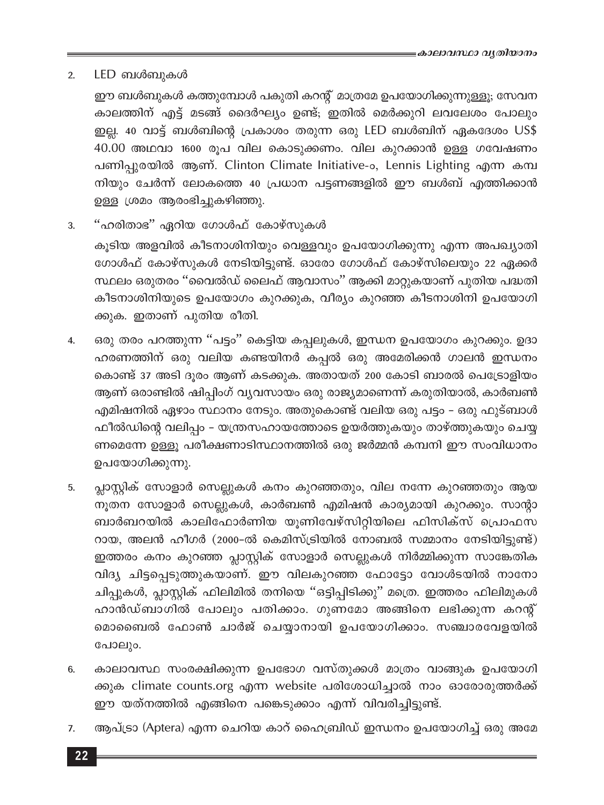LED ബൾബുകൾ  $2.$ 

> ഈ ബൾബുകൾ കത്തുമ്പോൾ പകുതി കറന്റ് മാത്രമേ ഉപയോഗിക്കുന്നുള്ളൂ; സേവന കാലത്തിന് എട്ട് മടങ്ങ് ദൈർഘ്യം ഉണ്ട്; ഇതിൽ മെർക്കുറി ലവലേശം പോലും ഇല്ല. 40 വാട്ട് ബൾബിന്റെ പ്രകാശം തരുന്ന ഒരു LED ബൾബിന് ഏകദേശം US\$ 40.00 അഥവാ 1600 രൂപ വില കൊടുക്കണം. വില കുറക്കാൻ ഉള്ള ഗവേഷണം പണിപ്പുരയിൽ ആണ്. Clinton Climate Initiative-o, Lennis Lighting എന്ന കമ്പ നിയും ചേർന്ന് ലോകത്തെ 40 പ്രധാന പട്ടണങ്ങളിൽ ഈ ബൾബ് എത്തിക്കാൻ ഉള്ള ശ്രമം ആരംഭിച്ചുകഴിഞ്ഞു.

"ഹരിതാഭ" ഏറിയ ഗോൾഫ് കോഴ്സുകൾ 3.

കൂടിയ അളവിൽ കീടനാശിനിയും വെള്ളവും ഉപയോഗിക്കുന്നു എന്ന അപഖ്യാതി ഗോൾഫ് കോഴ്സുകൾ നേടിയിട്ടുണ്ട്. ഓരോ ഗോൾഫ് കോഴ്സിലെയും 22 ഏക്കർ സ്ഥലം ഒരുതരം ''വൈൽഡ് ലൈഫ് ആവാസം'' ആക്കി മാറ്റുകയാണ് പുതിയ പദ്ധതി കീടനാശിനിയുടെ ഉപയോഗം കുറക്കുക, വീര്യം കുറഞ്ഞ കീടനാശിനി ഉപയോഗി ക്കുക. ഇതാണ് പുതിയ രീതി.

- ഒരു തരം പറത്തുന്ന ''പട്ടം'' കെട്ടിയ കപ്പലുകൾ, ഇന്ധന ഉപയോഗം കുറക്കും. ഉദാ  $\overline{4}$ . ഹരണത്തിന് ഒരു വലിയ കണ്ടയിനർ കപ്പൽ ഒരു അമേരിക്കൻ ഗാലൻ ഇന്ധനം കൊണ്ട് 37 അടി ദൂരം ആണ് കടക്കുക. അതായത് 200 കോടി ബാരൽ പെട്രോളിയം ആണ് ഒരാണ്ടിൽ ഷിപ്പിംഗ് വ്യവസായം ഒരു രാജ്യമാണെന്ന് കരുതിയാൽ, കാർബൺ എമിഷനിൽ ഏഴാം സ്ഥാനം നേടും. അതുകൊണ്ട് വലിയ ഒരു പട്ടം – ഒരു ഫുട്ബാൾ ഫീൽഡിന്റെ വലിപ്പം – യന്ത്രസഹായത്തോടെ ഉയർത്തുകയും താഴ്ത്തുകയും ചെയ്യ ണമെന്നേ ഉള്ളൂ പരീക്ഷണാടിസ്ഥാനത്തിൽ ഒരു ജർമ്മൻ കമ്പനി ഈ സംവിധാനം ഉപയോഗിക്കുന്നു.
- പ്ലാസ്റ്റിക് സോളാർ സെല്ലുകൾ കനം കുറഞ്ഞതും, വില നന്നേ കുറഞ്ഞതും ആയ 5. നൂതന സോളാർ സെല്ലുകൾ, കാർബൺ എമിഷൻ കാര്യമായി കുറക്കും. സാന്റാ ബാർബറയിൽ കാലിഫോർണിയ യൂണിവേഴ്സിറ്റിയിലെ ഫിസിക്സ് പ്രൊഫസ റായ, അലൻ ഹീഗർ (2000-ൽ കെമിസ്ട്രിയിൽ നോബൽ സമ്മാനം നേടിയിട്ടുണ്ട്) ഇത്തരം കനം കുറഞ്ഞ പ്ലാസ്റ്റിക് സോളാർ സെല്ലുകൾ നിർമ്മിക്കുന്ന സാങ്കേതിക വിദ്യ ചിട്ടപ്പെടുത്തുകയാണ്. ഈ വിലകുറഞ്ഞ ഫോട്ടോ വോൾടയിൽ നാനോ ചിപ്പുകൾ, പ്ലാസ്റ്റിക് ഫിലിമിൽ തനിയെ ''ഒട്ടിപ്പിടിക്കു'' മത്രെ. ഇത്തരം ഫിലിമുകൾ ഹാൻഡ്ബാഗിൽ പോലും പതിക്കാം. ഗുണമോ അങ്ങിനെ ലഭിക്കുന്ന കറന്റ് മൊബൈൽ ഫോൺ ചാർജ് ചെയ്യാനായി ഉപയോഗിക്കാം. സഞ്ചാരവേളയിൽ പോലും.
- കാലാവസ്ഥ സംരക്ഷിക്കുന്ന ഉപഭോഗ വസ്തുക്കൾ മാത്രം വാങ്ങുക ഉപയോഗി 6. ക്കുക climate counts.org എന്ന website പരിശോധിച്ചാൽ നാം ഓരോരുത്തർക്ക് ഈ യത്നത്തിൽ എങ്ങിനെ പങ്കെടുക്കാം എന്ന് വിവരിച്ചിട്ടുണ്ട്.
- ആപ്ട്രാ (Aptera) എന്ന ചെറിയ കാറ് ഹൈബ്രിഡ് ഇന്ധനം ഉപയോഗിച്ച് ഒരു അമേ 7.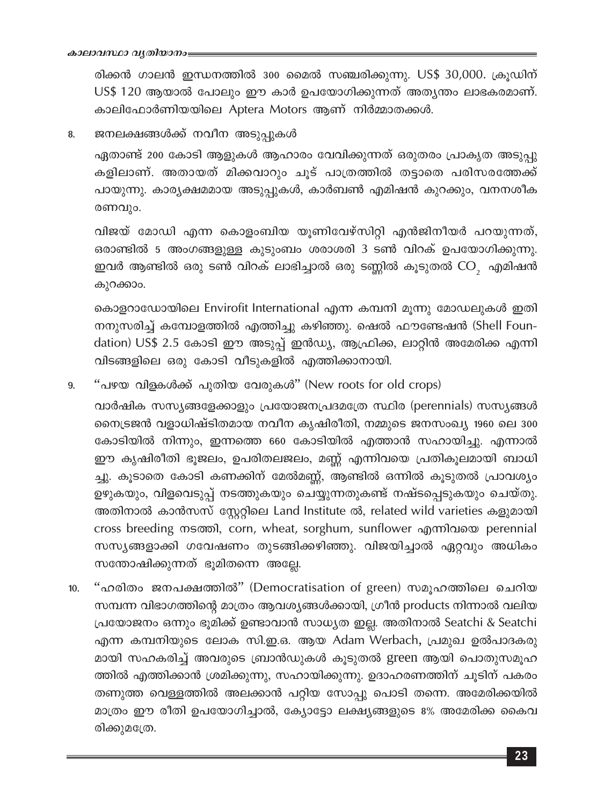രിക്കൻ ഗാലൻ ഇന്ധനത്തിൽ 300 മൈൽ സഞ്ചരിക്കുന്നു. US\$ 30,000. ക്രൂഡിന് US\$ 120 ആയാൽ പോലും ഈ കാർ ഉപയോഗിക്കുന്നത് അതൃന്തം ലാഭകരമാണ്. കാലിഫോർണിയയിലെ Aptera Motors ആണ് നിർമ്മാതക്കൾ.

#### ജനലക്ഷങ്ങൾക്ക് നവീന അടുപ്പുകൾ 8.

ഏതാണ്ട് 200 കോടി ആളുകൾ ആഹാരം വേവിക്കുന്നത് ഒരുതരം പ്രാകൃത അടുപ്പു കളിലാണ്. അതായത് മിക്കവാറും ചൂട് പാത്രത്തിൽ തട്ടാതെ പരിസരത്തേക്ക് പായുന്നു. കാര്യക്ഷമമായ അടുപ്പുകൾ, കാർബൺ എമിഷൻ കുറക്കും, വനനശീക രണവും.

വിജയ് മോഡി എന്ന കൊളംബിയ യൂണിവേഴ്സിറ്റി എൻജിനീയർ പറയുന്നത്, ഒരാണ്ടിൽ 5 അംഗങ്ങളുള്ള കുടുംബം ശരാശരി 3 ടൺ വിറക് ഉപയോഗിക്കുന്നു. ഇവർ ആണ്ടിൽ ഒരു ടൺ വിറക് ലാഭിച്ചാൽ ഒരു ടണ്ണിൽ കൂടുതൽ  $\mathrm{CO}_{2}^-$  എമിഷൻ കുറക്കാം.

കൊളറാഡോയിലെ Envirofit International എന്ന കമ്പനി മൂന്നു മോഡലുകൾ ഇതി നനുസരിച്ച് കമ്പോളത്തിൽ എത്തിച്ചു കഴിഞ്ഞു. ഷെൽ ഫൗണ്ടേഷൻ (Shell Foundation) US\$ 2.5 കോടി ഈ അടുപ്പ് ഇൻഡ്യ, ആഫ്രിക്ക, ലാറ്റിൻ അമേരിക്ക എന്നി വിടങ്ങളിലെ ഒരു കോടി വീടുകളിൽ എത്തിക്കാനായി.

"പഴയ വിളകൾക്ക് പുതിയ വേരുകൾ" (New roots for old crops) 9.

വാർഷിക സസ്യങ്ങളേക്കാളും പ്രയോജനപ്രദമത്രേ സ്ഥിര (perennials) സസ്യങ്ങൾ നൈട്രജൻ വളാധിഷ്ടിതമായ നവീന കൃഷിരീതി, നമ്മുടെ ജനസംഖ്യ 1960 ലെ 300 കോടിയിൽ നിന്നും, ഇന്നത്തെ 660 കോടിയിൽ എത്താൻ സഹായിച്ചു. എന്നാൽ ഈ കൃഷിരീതി ഭൂജലം, ഉപരിതലജലം, മണ്ണ് എന്നിവയെ പ്രതികൂലമായി ബാധി ച്ചു. കൂടാതെ കോടി കണക്കിന് മേൽമണ്ണ്, ആണ്ടിൽ ഒന്നിൽ കൂടുതൽ പ്രാവശ്യം ഉഴുകയും, വിളവെടുപ്പ് നടത്തുകയും ചെയ്യുന്നതുകണ്ട് നഷ്ടപ്പെടുകയും ചെയ്തു. അതിനാൽ കാൻസസ് സ്റ്റേറ്റിലെ Land Institute ൽ, related wild varieties കളുമായി cross breeding mscool, corn, wheat, sorghum, sunflower എന്നിവയെ perennial സസ്യങ്ങളാക്കി ഗവേഷണം തുടങ്ങിക്കഴിഞ്ഞു. വിജയിച്ചാൽ ഏറ്റവും അധികം സന്തോഷിക്കുന്നത് ഭൂമിതന്നെ അല്ലേ.

"ഹരിതം ജനപക്ഷത്തിൽ" (Democratisation of green) സമൂഹത്തിലെ ചെറിയ  $10.$ സമ്പന്ന വിഭാഗത്തിന്റെ മാത്രം ആവശ്യങ്ങൾക്കായി, ഗ്രീൻ products നിന്നാൽ വലിയ പ്രയോജനം ഒന്നും ഭൂമിക്ക് ഉണ്ടാവാൻ സാധ്യത ഇല്ല. അതിനാൽ Seatchi & Seatchi എന്ന കമ്പനിയുടെ ലോക സി.ഇ.ഒ. ആയ Adam Werbach, പ്രമുഖ ഉൽപാദകരു മായി സഹകരിച്ച് അവരുടെ ബ്രാൻഡുകൾ കൂടുതൽ green ആയി പൊതുസമൂഹ ത്തിൽ എത്തിക്കാൻ ശ്രമിക്കുന്നു, സഹായിക്കുന്നു. ഉദാഹരണത്തിന് ചൂടിന് പകരം തണുത്ത വെള്ളത്തിൽ അലക്കാൻ പറ്റിയ സോപ്പു പൊടി തന്നെ. അമേരിക്കയിൽ മാത്രം ഈ രീതി ഉപയോഗിച്ചാൽ, ക്യോട്ടോ ലക്ഷ്യങ്ങളുടെ 8% അമേരിക്ക കൈവ രിക്കുമത്രേ.